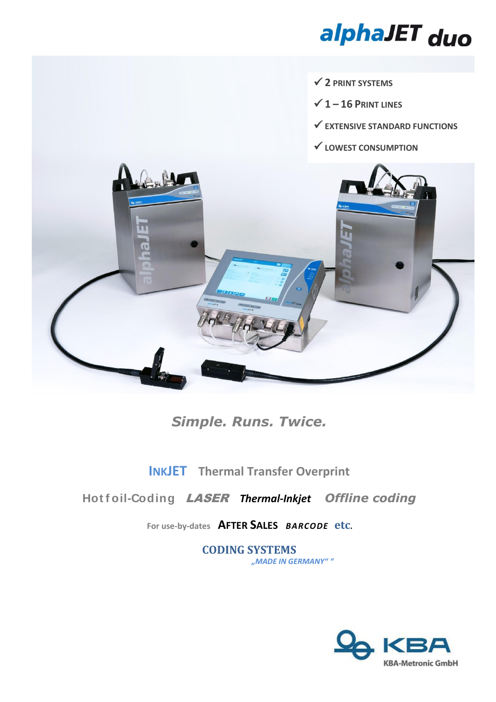# alphaJET duo

- $\checkmark$  2 PRINT SYSTEMS
- $\checkmark$  1 16 PRINT LINES
- $\checkmark$  EXTENSIVE STANDARD FUNCTIONS
- $\checkmark$  LOWEST CONSUMPTION



# **Simple. Runs. Twice.**

# **INKJET** Thermal Transfer Overprint

## Hotfoil-Coding LASER Thermal-Inkjet Offline coding

## For use-by-dates AFTER SALES BARCODE etc.

**CODING SYSTEMS** "MADE IN GERMANY""